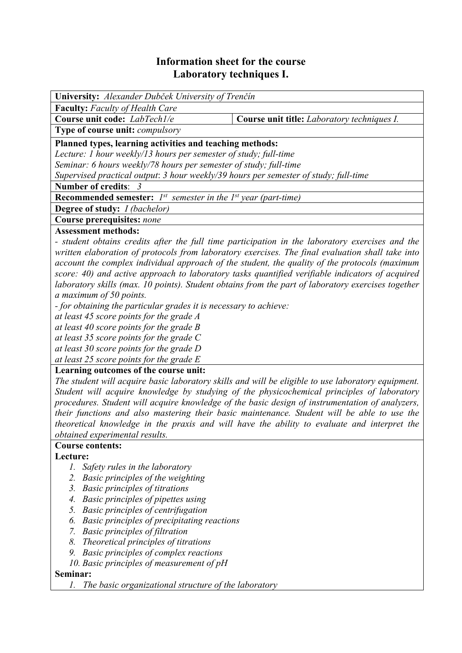## **Information sheet for the course Laboratory techniques I.**

| <b>University:</b> Alexander Dubček University of Trenčín                            |                                             |  |  |  |
|--------------------------------------------------------------------------------------|---------------------------------------------|--|--|--|
| <b>Faculty:</b> Faculty of Health Care                                               |                                             |  |  |  |
| Course unit code: LabTech1/e                                                         | Course unit title: Laboratory techniques I. |  |  |  |
| Type of course unit: <i>compulsory</i>                                               |                                             |  |  |  |
| Planned types, learning activities and teaching methods:                             |                                             |  |  |  |
| Lecture: 1 hour weekly/13 hours per semester of study; full-time                     |                                             |  |  |  |
| Seminar: 6 hours weekly/78 hours per semester of study; full-time                    |                                             |  |  |  |
| Supervised practical output: 3 hour weekly/39 hours per semester of study; full-time |                                             |  |  |  |
| Number of credits: 3                                                                 |                                             |  |  |  |
| <b>Recommended semester:</b> $I^{st}$ semester in the $I^{st}$ year (part-time)      |                                             |  |  |  |
| <b>Degree of study:</b> <i>I (bachelor)</i>                                          |                                             |  |  |  |
| Course prerequisites: none                                                           |                                             |  |  |  |
| Accordoment mothoday                                                                 |                                             |  |  |  |

#### **Assessment methods:**

*- student obtains credits after the full time participation in the laboratory exercises and the written elaboration of protocols from laboratory exercises. The final evaluation shall take into account the complex individual approach of the student, the quality of the protocols (maximum score: 40) and active approach to laboratory tasks quantified verifiable indicators of acquired laboratory skills (max. 10 points). Student obtains from the part of laboratory exercises together a maximum of 50 points.* 

*- for obtaining the particular grades it is necessary to achieve:* 

*at least 45 score points for the grade A* 

*at least 40 score points for the grade B* 

*at least 35 score points for the grade C* 

*at least 30 score points for the grade D* 

*at least 25 score points for the grade E*

#### **Learning outcomes of the course unit:**

*The student will acquire basic laboratory skills and will be eligible to use laboratory equipment. Student will acquire knowledge by studying of the physicochemical principles of laboratory procedures. Student will acquire knowledge of the basic design of instrumentation of analyzers, their functions and also mastering their basic maintenance. Student will be able to use the theoretical knowledge in the praxis and will have the ability to evaluate and interpret the obtained experimental results.* 

# **Course contents:**

#### **Lecture:**

- *1. Safety rules in the laboratory*
- *2. Basic principles of the weighting*
- *3. Basic principles of titrations*
- *4. Basic principles of pipettes using*
- *5. Basic principles of centrifugation*
- *6. Basic principles of precipitating reactions*
- *7. Basic principles of filtration*
- *8. Theoretical principles of titrations*
- *9. Basic principles of complex reactions*
- *10. Basic principles of measurement of pH*

#### **Seminar:**

*1. The basic organizational structure of the laboratory*